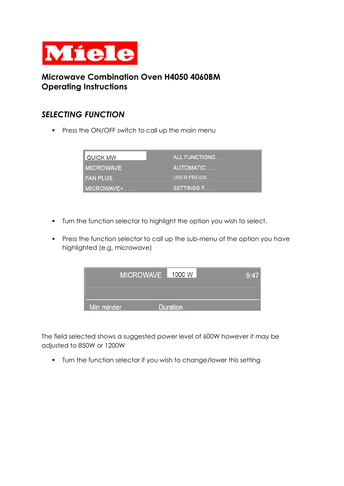

## **Microwave Combination Oven H4050 4060BM Operating Instructions**

## *SELECTING FUNCTION*

**•** Press the ON/OFF switch to call up the main menu

| <b>QUICK MW</b>  | ALL FUNCTIONS |
|------------------|---------------|
| <b>MICROWAVE</b> | AUTOMATIC     |
| <b>IFAN PLUS</b> | USER PROGS    |
| MICROWAVE+       | SETTINGS F.   |

- Turn the function selector to highlight the option you wish to select.
- **•** Press the function selector to call up the sub-menu of the option you have highlighted (e.g. microwave)



The field selected shows a suggested power level of 600W however it may be adjusted to 850W or 1200W

**•** Turn the function selector if you wish to change/lower this setting